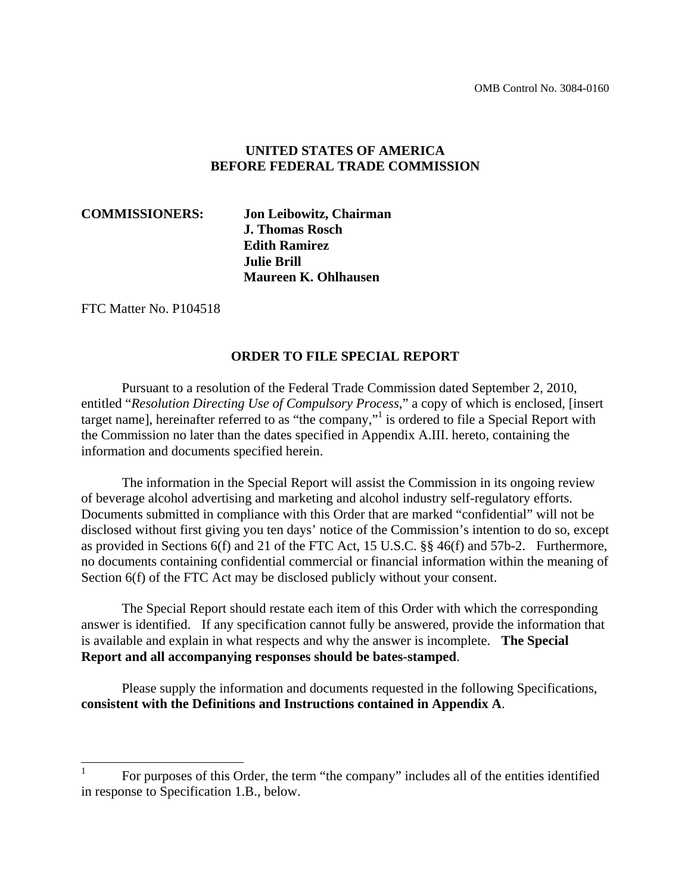#### **UNITED STATES OF AMERICA BEFORE FEDERAL TRADE COMMISSION**

**COMMISSIONERS: Jon Leibowitz, Chairman J. Thomas Rosch Edith Ramirez Julie Brill Maureen K. Ohlhausen**

FTC Matter No. P104518

#### **ORDER TO FILE SPECIAL REPORT**

 Pursuant to a resolution of the Federal Trade Commission dated September 2, 2010, entitled "*Resolution Directing Use of Compulsory Process*," a copy of which is enclosed, [insert target name], hereinafter referred to as "the company,"<sup>1</sup> is ordered to file a Special Report with the Commission no later than the dates specified in Appendix A.III. hereto, containing the information and documents specified herein.

The information in the Special Report will assist the Commission in its ongoing review of beverage alcohol advertising and marketing and alcohol industry self-regulatory efforts. Documents submitted in compliance with this Order that are marked "confidential" will not be disclosed without first giving you ten days' notice of the Commission's intention to do so, except as provided in Sections 6(f) and 21 of the FTC Act, 15 U.S.C. §§ 46(f) and 57b-2. Furthermore, no documents containing confidential commercial or financial information within the meaning of Section 6(f) of the FTC Act may be disclosed publicly without your consent.

 The Special Report should restate each item of this Order with which the corresponding answer is identified. If any specification cannot fully be answered, provide the information that is available and explain in what respects and why the answer is incomplete. **The Special Report and all accompanying responses should be bates-stamped**.

 Please supply the information and documents requested in the following Specifications, **consistent with the Definitions and Instructions contained in Appendix A**.

 $\frac{1}{1}$  For purposes of this Order, the term "the company" includes all of the entities identified in response to Specification 1.B., below.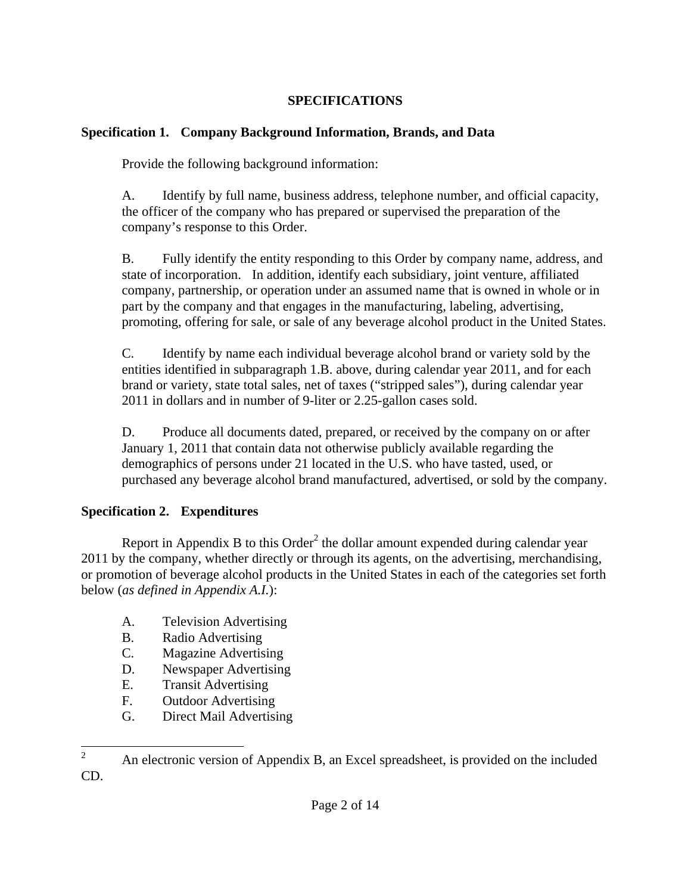#### **SPECIFICATIONS**

#### **Specification 1. Company Background Information, Brands, and Data**

Provide the following background information:

A. Identify by full name, business address, telephone number, and official capacity, the officer of the company who has prepared or supervised the preparation of the company's response to this Order.

B. Fully identify the entity responding to this Order by company name, address, and state of incorporation. In addition, identify each subsidiary, joint venture, affiliated company, partnership, or operation under an assumed name that is owned in whole or in part by the company and that engages in the manufacturing, labeling, advertising, promoting, offering for sale, or sale of any beverage alcohol product in the United States.

C. Identify by name each individual beverage alcohol brand or variety sold by the entities identified in subparagraph 1.B. above, during calendar year 2011, and for each brand or variety, state total sales, net of taxes ("stripped sales"), during calendar year 2011 in dollars and in number of 9-liter or 2.25-gallon cases sold.

D. Produce all documents dated, prepared, or received by the company on or after January 1, 2011 that contain data not otherwise publicly available regarding the demographics of persons under 21 located in the U.S. who have tasted, used, or purchased any beverage alcohol brand manufactured, advertised, or sold by the company.

## **Specification 2. Expenditures**

Report in Appendix B to this  $Order<sup>2</sup>$  the dollar amount expended during calendar year 2011 by the company, whether directly or through its agents, on the advertising, merchandising, or promotion of beverage alcohol products in the United States in each of the categories set forth below (*as defined in Appendix A.I.*):

- A. Television Advertising
- B. Radio Advertising
- C. Magazine Advertising
- D. Newspaper Advertising
- E. Transit Advertising
- F. Outdoor Advertising
- G. Direct Mail Advertising

 $\frac{1}{2}$  An electronic version of Appendix B, an Excel spreadsheet, is provided on the included CD.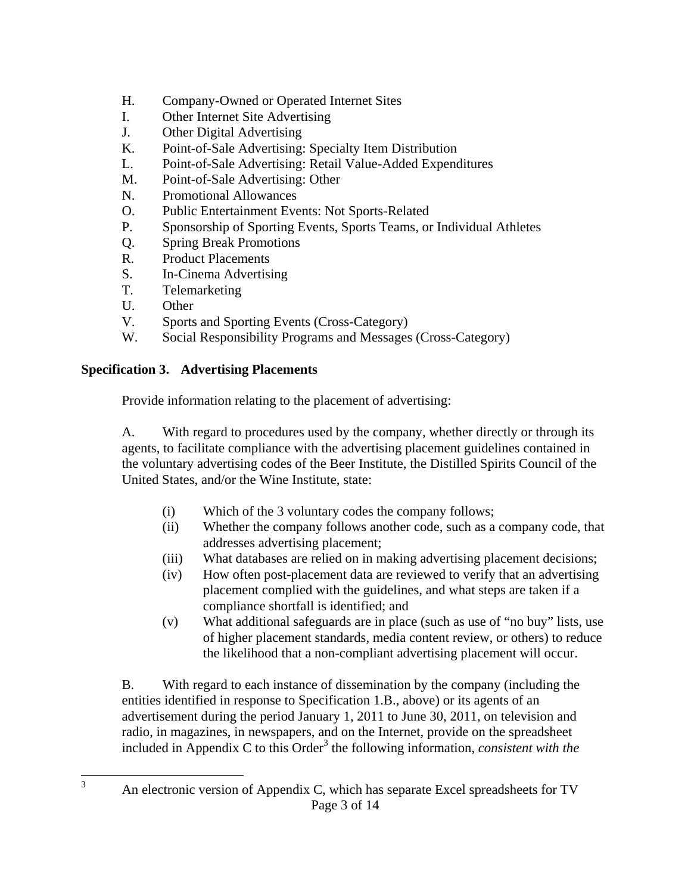- H. Company-Owned or Operated Internet Sites
- I. Other Internet Site Advertising
- J. Other Digital Advertising
- K. Point-of-Sale Advertising: Specialty Item Distribution
- L. Point-of-Sale Advertising: Retail Value-Added Expenditures
- M. Point-of-Sale Advertising: Other
- N. Promotional Allowances
- O. Public Entertainment Events: Not Sports-Related
- P. Sponsorship of Sporting Events, Sports Teams, or Individual Athletes
- Q. Spring Break Promotions
- R. Product Placements
- S. In-Cinema Advertising
- T. Telemarketing
- U. Other
- V. Sports and Sporting Events (Cross-Category)
- W. Social Responsibility Programs and Messages (Cross-Category)

#### **Specification 3. Advertising Placements**

Provide information relating to the placement of advertising:

A. With regard to procedures used by the company, whether directly or through its agents, to facilitate compliance with the advertising placement guidelines contained in the voluntary advertising codes of the Beer Institute, the Distilled Spirits Council of the United States, and/or the Wine Institute, state:

- (i) Which of the 3 voluntary codes the company follows;
- (ii) Whether the company follows another code, such as a company code, that addresses advertising placement;
- (iii) What databases are relied on in making advertising placement decisions;
- (iv) How often post-placement data are reviewed to verify that an advertising placement complied with the guidelines, and what steps are taken if a compliance shortfall is identified; and
- (v) What additional safeguards are in place (such as use of "no buy" lists, use of higher placement standards, media content review, or others) to reduce the likelihood that a non-compliant advertising placement will occur.

B. With regard to each instance of dissemination by the company (including the entities identified in response to Specification 1.B., above) or its agents of an advertisement during the period January 1, 2011 to June 30, 2011, on television and radio, in magazines, in newspapers, and on the Internet, provide on the spreadsheet included in Appendix C to this Order<sup>3</sup> the following information, *consistent with the* 

3

Page 3 of 14 An electronic version of Appendix C, which has separate Excel spreadsheets for TV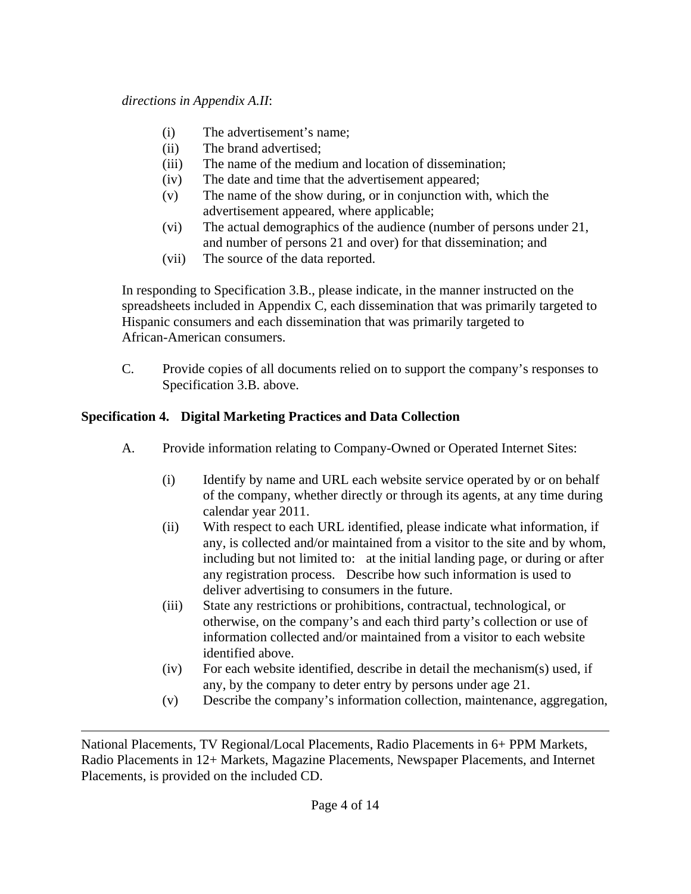- (i) The advertisement's name;
- (ii) The brand advertised;
- (iii) The name of the medium and location of dissemination;
- (iv) The date and time that the advertisement appeared;
- (v) The name of the show during, or in conjunction with, which the advertisement appeared, where applicable;
- (vi) The actual demographics of the audience (number of persons under 21, and number of persons 21 and over) for that dissemination; and
- (vii) The source of the data reported.

In responding to Specification 3.B., please indicate, in the manner instructed on the spreadsheets included in Appendix C, each dissemination that was primarily targeted to Hispanic consumers and each dissemination that was primarily targeted to African-American consumers.

 C. Provide copies of all documents relied on to support the company's responses to Specification 3.B. above.

## **Specification 4. Digital Marketing Practices and Data Collection**

- A. Provide information relating to Company-Owned or Operated Internet Sites:
	- (i) Identify by name and URL each website service operated by or on behalf of the company, whether directly or through its agents, at any time during calendar year 2011.
	- (ii) With respect to each URL identified, please indicate what information, if any, is collected and/or maintained from a visitor to the site and by whom, including but not limited to: at the initial landing page, or during or after any registration process. Describe how such information is used to deliver advertising to consumers in the future.
	- (iii) State any restrictions or prohibitions, contractual, technological, or otherwise, on the company's and each third party's collection or use of information collected and/or maintained from a visitor to each website identified above.
	- (iv) For each website identified, describe in detail the mechanism(s) used, if any, by the company to deter entry by persons under age 21.
	- (v) Describe the company's information collection, maintenance, aggregation,

 $\overline{a}$ National Placements, TV Regional/Local Placements, Radio Placements in 6+ PPM Markets, Radio Placements in 12+ Markets, Magazine Placements, Newspaper Placements, and Internet Placements, is provided on the included CD.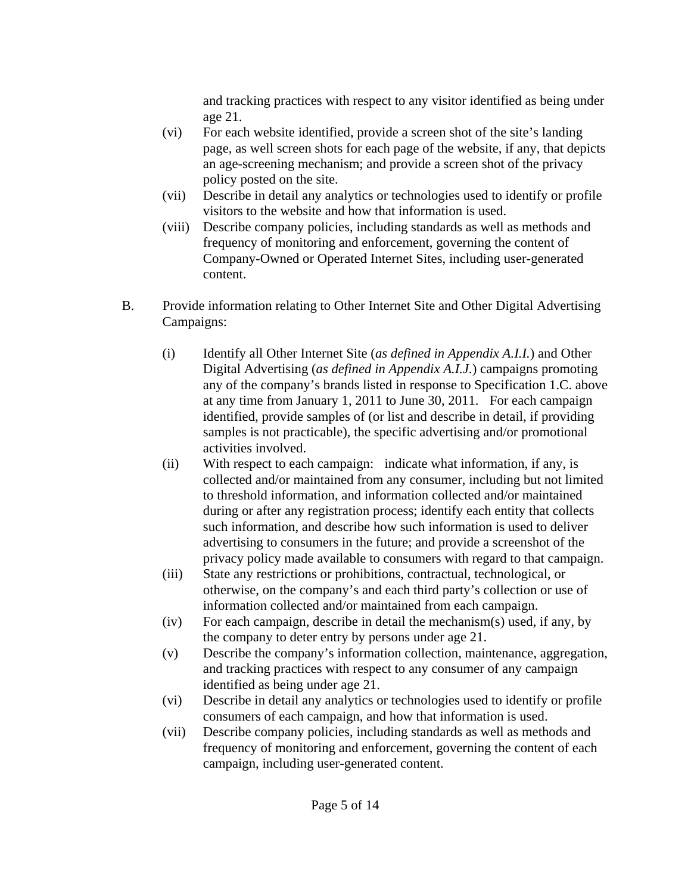and tracking practices with respect to any visitor identified as being under age 21.

- (vi) For each website identified, provide a screen shot of the site's landing page, as well screen shots for each page of the website, if any, that depicts an age-screening mechanism; and provide a screen shot of the privacy policy posted on the site.
- (vii) Describe in detail any analytics or technologies used to identify or profile visitors to the website and how that information is used.
- (viii) Describe company policies, including standards as well as methods and frequency of monitoring and enforcement, governing the content of Company-Owned or Operated Internet Sites, including user-generated content.
- B. Provide information relating to Other Internet Site and Other Digital Advertising Campaigns:
	- (i) Identify all Other Internet Site (*as defined in Appendix A.I.I.*) and Other Digital Advertising (*as defined in Appendix A.I.J.*) campaigns promoting any of the company's brands listed in response to Specification 1.C. above at any time from January 1, 2011 to June 30, 2011. For each campaign identified, provide samples of (or list and describe in detail, if providing samples is not practicable), the specific advertising and/or promotional activities involved.
	- (ii) With respect to each campaign: indicate what information, if any, is collected and/or maintained from any consumer, including but not limited to threshold information, and information collected and/or maintained during or after any registration process; identify each entity that collects such information, and describe how such information is used to deliver advertising to consumers in the future; and provide a screenshot of the privacy policy made available to consumers with regard to that campaign.
	- (iii) State any restrictions or prohibitions, contractual, technological, or otherwise, on the company's and each third party's collection or use of information collected and/or maintained from each campaign.
	- $(iv)$  For each campaign, describe in detail the mechanism $(s)$  used, if any, by the company to deter entry by persons under age 21.
	- (v) Describe the company's information collection, maintenance, aggregation, and tracking practices with respect to any consumer of any campaign identified as being under age 21.
	- (vi) Describe in detail any analytics or technologies used to identify or profile consumers of each campaign, and how that information is used.
	- (vii) Describe company policies, including standards as well as methods and frequency of monitoring and enforcement, governing the content of each campaign, including user-generated content.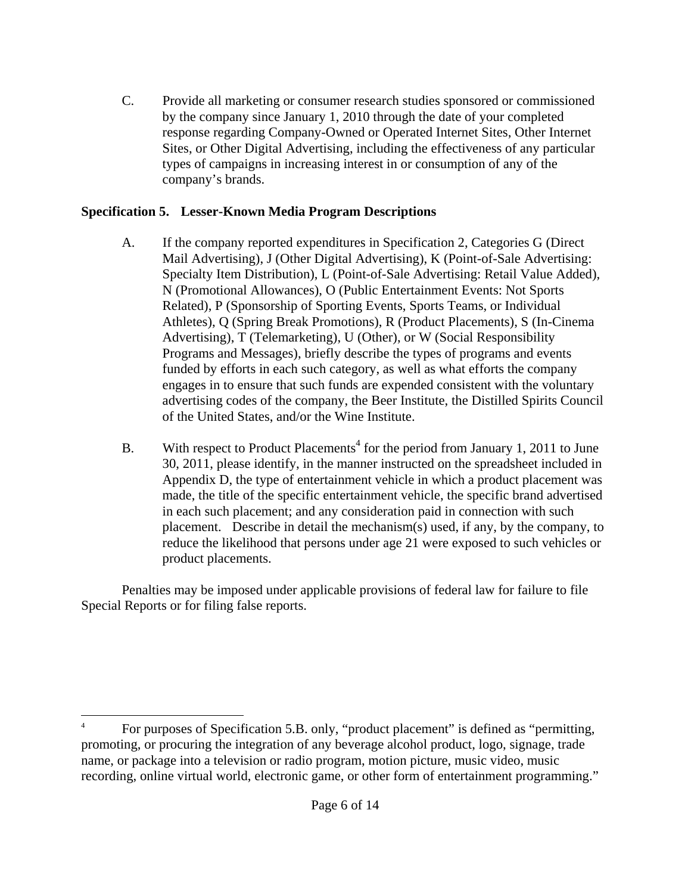C. Provide all marketing or consumer research studies sponsored or commissioned by the company since January 1, 2010 through the date of your completed response regarding Company-Owned or Operated Internet Sites, Other Internet Sites, or Other Digital Advertising, including the effectiveness of any particular types of campaigns in increasing interest in or consumption of any of the company's brands.

#### **Specification 5. Lesser-Known Media Program Descriptions**

- A. If the company reported expenditures in Specification 2, Categories G (Direct Mail Advertising), J (Other Digital Advertising), K (Point-of-Sale Advertising: Specialty Item Distribution), L (Point-of-Sale Advertising: Retail Value Added), N (Promotional Allowances), O (Public Entertainment Events: Not Sports Related), P (Sponsorship of Sporting Events, Sports Teams, or Individual Athletes), Q (Spring Break Promotions), R (Product Placements), S (In-Cinema Advertising), T (Telemarketing), U (Other), or W (Social Responsibility Programs and Messages), briefly describe the types of programs and events funded by efforts in each such category, as well as what efforts the company engages in to ensure that such funds are expended consistent with the voluntary advertising codes of the company, the Beer Institute, the Distilled Spirits Council of the United States, and/or the Wine Institute.
- B. With respect to Product Placements<sup>4</sup> for the period from January 1, 2011 to June 30, 2011, please identify, in the manner instructed on the spreadsheet included in Appendix D, the type of entertainment vehicle in which a product placement was made, the title of the specific entertainment vehicle, the specific brand advertised in each such placement; and any consideration paid in connection with such placement. Describe in detail the mechanism(s) used, if any, by the company, to reduce the likelihood that persons under age 21 were exposed to such vehicles or product placements.

 Penalties may be imposed under applicable provisions of federal law for failure to file Special Reports or for filing false reports.

 $\overline{a}$ 

<sup>4</sup> For purposes of Specification 5.B. only, "product placement" is defined as "permitting, promoting, or procuring the integration of any beverage alcohol product, logo, signage, trade name, or package into a television or radio program, motion picture, music video, music recording, online virtual world, electronic game, or other form of entertainment programming."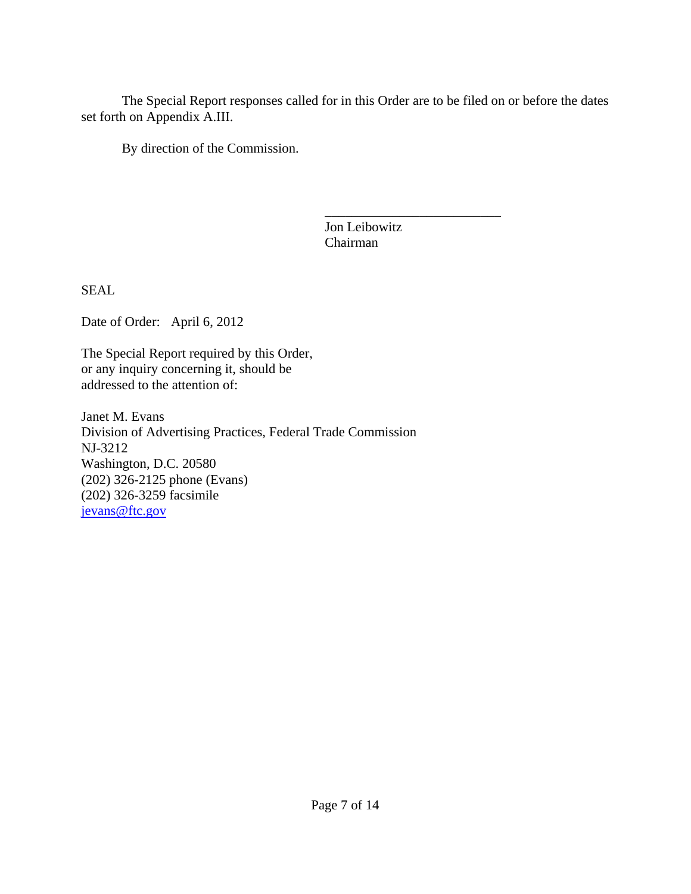The Special Report responses called for in this Order are to be filed on or before the dates set forth on Appendix A.III.

By direction of the Commission.

 $\overline{\phantom{a}}$  , and the contract of the contract of the contract of the contract of the contract of the contract of the contract of the contract of the contract of the contract of the contract of the contract of the contrac Jon Leibowitz Chairman

SEAL

Date of Order: April 6, 2012

The Special Report required by this Order, or any inquiry concerning it, should be addressed to the attention of:

Janet M. Evans Division of Advertising Practices, Federal Trade Commission NJ-3212 Washington, D.C. 20580 (202) 326-2125 phone (Evans) (202) 326-3259 facsimile jevans@ftc.gov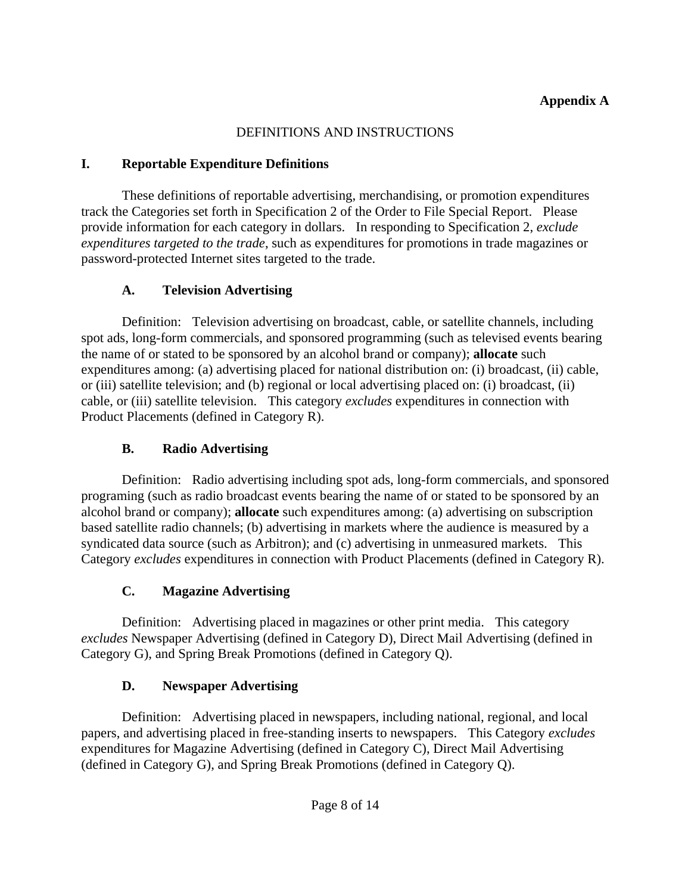#### DEFINITIONS AND INSTRUCTIONS

#### **I. Reportable Expenditure Definitions**

These definitions of reportable advertising, merchandising, or promotion expenditures track the Categories set forth in Specification 2 of the Order to File Special Report. Please provide information for each category in dollars. In responding to Specification 2, *exclude expenditures targeted to the trade*, such as expenditures for promotions in trade magazines or password-protected Internet sites targeted to the trade.

## **A. Television Advertising**

 Definition: Television advertising on broadcast, cable, or satellite channels, including spot ads, long-form commercials, and sponsored programming (such as televised events bearing the name of or stated to be sponsored by an alcohol brand or company); **allocate** such expenditures among: (a) advertising placed for national distribution on: (i) broadcast, (ii) cable, or (iii) satellite television; and (b) regional or local advertising placed on: (i) broadcast, (ii) cable, or (iii) satellite television. This category *excludes* expenditures in connection with Product Placements (defined in Category R).

## **B. Radio Advertising**

 Definition: Radio advertising including spot ads, long-form commercials, and sponsored programing (such as radio broadcast events bearing the name of or stated to be sponsored by an alcohol brand or company); **allocate** such expenditures among: (a) advertising on subscription based satellite radio channels; (b) advertising in markets where the audience is measured by a syndicated data source (such as Arbitron); and (c) advertising in unmeasured markets. This Category *excludes* expenditures in connection with Product Placements (defined in Category R).

## **C. Magazine Advertising**

 Definition: Advertising placed in magazines or other print media. This category *excludes* Newspaper Advertising (defined in Category D), Direct Mail Advertising (defined in Category G), and Spring Break Promotions (defined in Category Q).

## **D. Newspaper Advertising**

 Definition: Advertising placed in newspapers, including national, regional, and local papers, and advertising placed in free-standing inserts to newspapers. This Category *excludes* expenditures for Magazine Advertising (defined in Category C), Direct Mail Advertising (defined in Category G), and Spring Break Promotions (defined in Category Q).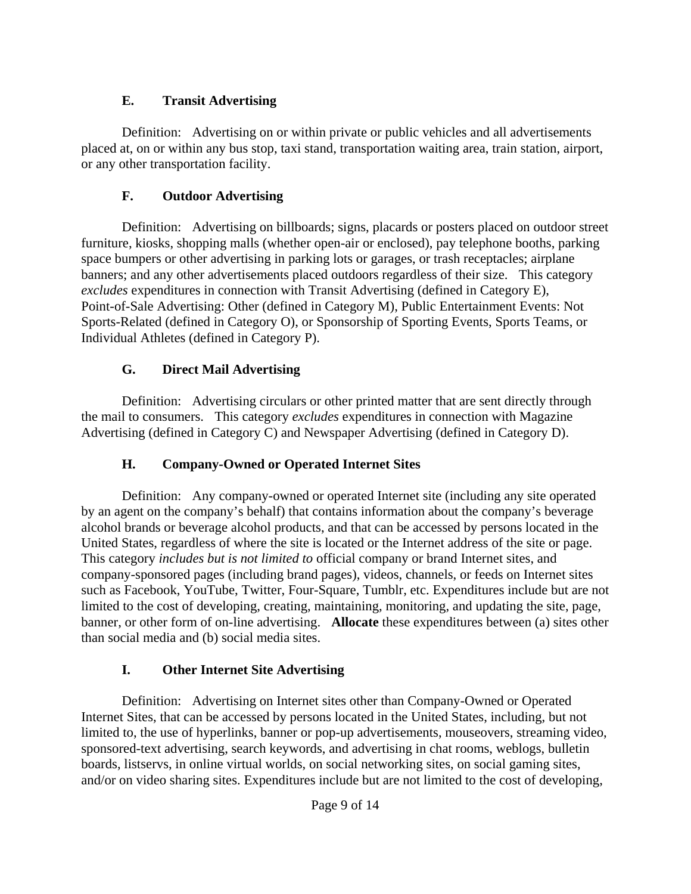#### **E. Transit Advertising**

 Definition: Advertising on or within private or public vehicles and all advertisements placed at, on or within any bus stop, taxi stand, transportation waiting area, train station, airport, or any other transportation facility.

## **F. Outdoor Advertising**

 Definition: Advertising on billboards; signs, placards or posters placed on outdoor street furniture, kiosks, shopping malls (whether open-air or enclosed), pay telephone booths, parking space bumpers or other advertising in parking lots or garages, or trash receptacles; airplane banners; and any other advertisements placed outdoors regardless of their size. This category *excludes* expenditures in connection with Transit Advertising (defined in Category E), Point-of-Sale Advertising: Other (defined in Category M), Public Entertainment Events: Not Sports-Related (defined in Category O), or Sponsorship of Sporting Events, Sports Teams, or Individual Athletes (defined in Category P).

## **G. Direct Mail Advertising**

 Definition: Advertising circulars or other printed matter that are sent directly through the mail to consumers. This category *excludes* expenditures in connection with Magazine Advertising (defined in Category C) and Newspaper Advertising (defined in Category D).

## **H. Company-Owned or Operated Internet Sites**

 Definition: Any company-owned or operated Internet site (including any site operated by an agent on the company's behalf) that contains information about the company's beverage alcohol brands or beverage alcohol products, and that can be accessed by persons located in the United States, regardless of where the site is located or the Internet address of the site or page. This category *includes but is not limited to* official company or brand Internet sites, and company-sponsored pages (including brand pages), videos, channels, or feeds on Internet sites such as Facebook, YouTube, Twitter, Four-Square, Tumblr, etc. Expenditures include but are not limited to the cost of developing, creating, maintaining, monitoring, and updating the site, page, banner, or other form of on-line advertising. **Allocate** these expenditures between (a) sites other than social media and (b) social media sites.

## **I. Other Internet Site Advertising**

 Definition: Advertising on Internet sites other than Company-Owned or Operated Internet Sites, that can be accessed by persons located in the United States, including, but not limited to, the use of hyperlinks, banner or pop-up advertisements, mouseovers, streaming video, sponsored-text advertising, search keywords, and advertising in chat rooms, weblogs, bulletin boards, listservs, in online virtual worlds, on social networking sites, on social gaming sites, and/or on video sharing sites. Expenditures include but are not limited to the cost of developing,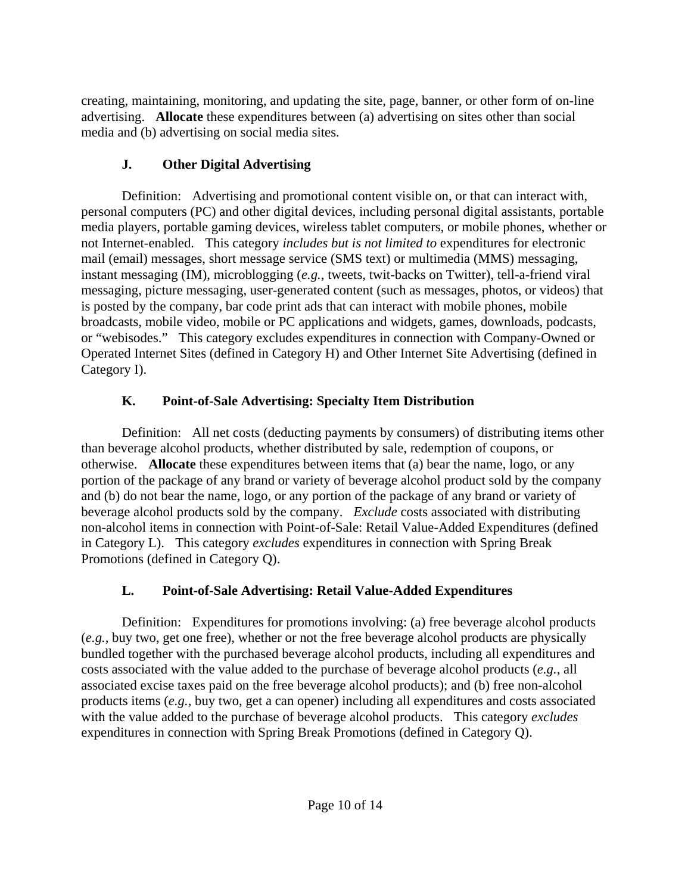creating, maintaining, monitoring, and updating the site, page, banner, or other form of on-line advertising. **Allocate** these expenditures between (a) advertising on sites other than social media and (b) advertising on social media sites.

## **J. Other Digital Advertising**

 Definition: Advertising and promotional content visible on, or that can interact with, personal computers (PC) and other digital devices, including personal digital assistants, portable media players, portable gaming devices, wireless tablet computers, or mobile phones, whether or not Internet-enabled. This category *includes but is not limited to* expenditures for electronic mail (email) messages, short message service (SMS text) or multimedia (MMS) messaging, instant messaging (IM), microblogging (*e.g.*, tweets, twit-backs on Twitter), tell-a-friend viral messaging, picture messaging, user-generated content (such as messages, photos, or videos) that is posted by the company, bar code print ads that can interact with mobile phones, mobile broadcasts, mobile video, mobile or PC applications and widgets, games, downloads, podcasts, or "webisodes." This category excludes expenditures in connection with Company-Owned or Operated Internet Sites (defined in Category H) and Other Internet Site Advertising (defined in Category I).

# **K. Point-of-Sale Advertising: Specialty Item Distribution**

 Definition: All net costs (deducting payments by consumers) of distributing items other than beverage alcohol products, whether distributed by sale, redemption of coupons, or otherwise. **Allocate** these expenditures between items that (a) bear the name, logo, or any portion of the package of any brand or variety of beverage alcohol product sold by the company and (b) do not bear the name, logo, or any portion of the package of any brand or variety of beverage alcohol products sold by the company. *Exclude* costs associated with distributing non-alcohol items in connection with Point-of-Sale: Retail Value-Added Expenditures (defined in Category L). This category *excludes* expenditures in connection with Spring Break Promotions (defined in Category Q).

# **L. Point-of-Sale Advertising: Retail Value-Added Expenditures**

 Definition: Expenditures for promotions involving: (a) free beverage alcohol products (*e.g.,* buy two, get one free), whether or not the free beverage alcohol products are physically bundled together with the purchased beverage alcohol products, including all expenditures and costs associated with the value added to the purchase of beverage alcohol products (*e.g.*, all associated excise taxes paid on the free beverage alcohol products); and (b) free non-alcohol products items (*e.g.,* buy two, get a can opener) including all expenditures and costs associated with the value added to the purchase of beverage alcohol products. This category *excludes* expenditures in connection with Spring Break Promotions (defined in Category Q).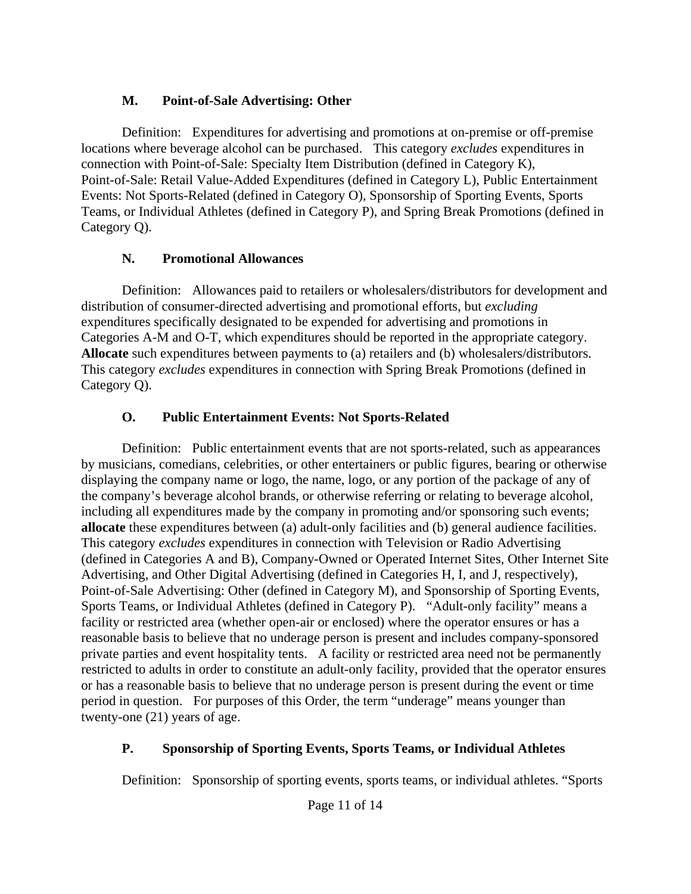#### **M. Point-of-Sale Advertising: Other**

 Definition: Expenditures for advertising and promotions at on-premise or off-premise locations where beverage alcohol can be purchased. This category *excludes* expenditures in connection with Point-of-Sale: Specialty Item Distribution (defined in Category K), Point-of-Sale: Retail Value-Added Expenditures (defined in Category L), Public Entertainment Events: Not Sports-Related (defined in Category O), Sponsorship of Sporting Events, Sports Teams, or Individual Athletes (defined in Category P), and Spring Break Promotions (defined in Category Q).

#### **N. Promotional Allowances**

 Definition: Allowances paid to retailers or wholesalers/distributors for development and distribution of consumer-directed advertising and promotional efforts, but *excluding* expenditures specifically designated to be expended for advertising and promotions in Categories A-M and O-T, which expenditures should be reported in the appropriate category. **Allocate** such expenditures between payments to (a) retailers and (b) wholesalers/distributors. This category *excludes* expenditures in connection with Spring Break Promotions (defined in Category Q).

#### **O. Public Entertainment Events: Not Sports-Related**

 Definition: Public entertainment events that are not sports-related, such as appearances by musicians, comedians, celebrities, or other entertainers or public figures, bearing or otherwise displaying the company name or logo, the name, logo, or any portion of the package of any of the company's beverage alcohol brands, or otherwise referring or relating to beverage alcohol, including all expenditures made by the company in promoting and/or sponsoring such events; **allocate** these expenditures between (a) adult-only facilities and (b) general audience facilities. This category *excludes* expenditures in connection with Television or Radio Advertising (defined in Categories A and B), Company-Owned or Operated Internet Sites, Other Internet Site Advertising, and Other Digital Advertising (defined in Categories H, I, and J, respectively), Point-of-Sale Advertising: Other (defined in Category M), and Sponsorship of Sporting Events, Sports Teams, or Individual Athletes (defined in Category P). "Adult-only facility" means a facility or restricted area (whether open-air or enclosed) where the operator ensures or has a reasonable basis to believe that no underage person is present and includes company-sponsored private parties and event hospitality tents. A facility or restricted area need not be permanently restricted to adults in order to constitute an adult-only facility, provided that the operator ensures or has a reasonable basis to believe that no underage person is present during the event or time period in question. For purposes of this Order, the term "underage" means younger than twenty-one (21) years of age.

## **P. Sponsorship of Sporting Events, Sports Teams, or Individual Athletes**

Definition: Sponsorship of sporting events, sports teams, or individual athletes. "Sports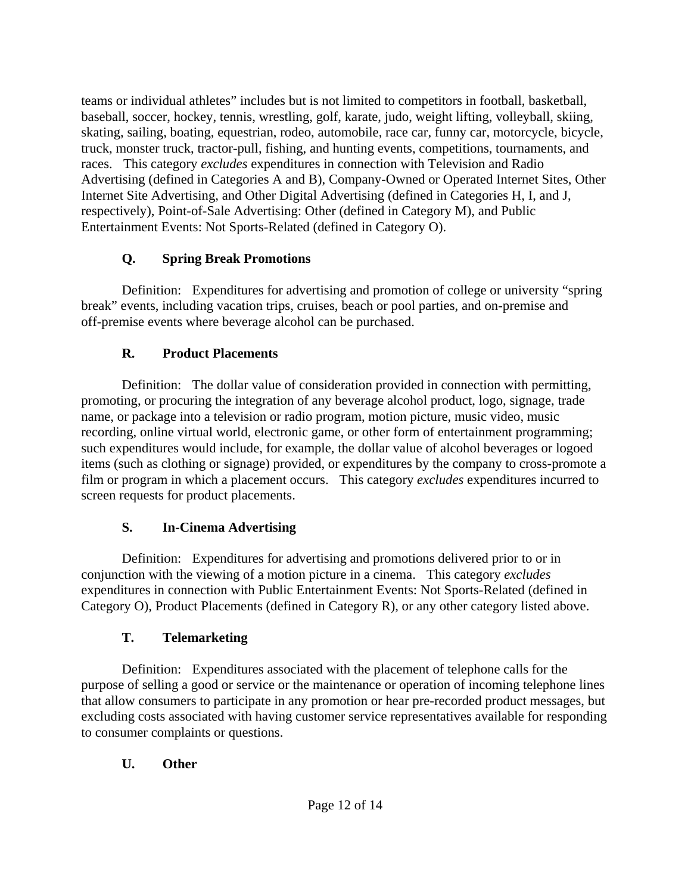teams or individual athletes" includes but is not limited to competitors in football, basketball, baseball, soccer, hockey, tennis, wrestling, golf, karate, judo, weight lifting, volleyball, skiing, skating, sailing, boating, equestrian, rodeo, automobile, race car, funny car, motorcycle, bicycle, truck, monster truck, tractor-pull, fishing, and hunting events, competitions, tournaments, and races. This category *excludes* expenditures in connection with Television and Radio Advertising (defined in Categories A and B), Company-Owned or Operated Internet Sites, Other Internet Site Advertising, and Other Digital Advertising (defined in Categories H, I, and J, respectively), Point-of-Sale Advertising: Other (defined in Category M), and Public Entertainment Events: Not Sports-Related (defined in Category O).

#### **Q. Spring Break Promotions**

 Definition: Expenditures for advertising and promotion of college or university "spring break" events, including vacation trips, cruises, beach or pool parties, and on-premise and off-premise events where beverage alcohol can be purchased.

## **R. Product Placements**

 Definition: The dollar value of consideration provided in connection with permitting, promoting, or procuring the integration of any beverage alcohol product, logo, signage, trade name, or package into a television or radio program, motion picture, music video, music recording, online virtual world, electronic game, or other form of entertainment programming; such expenditures would include, for example, the dollar value of alcohol beverages or logoed items (such as clothing or signage) provided, or expenditures by the company to cross-promote a film or program in which a placement occurs. This category *excludes* expenditures incurred to screen requests for product placements.

## **S. In-Cinema Advertising**

 Definition: Expenditures for advertising and promotions delivered prior to or in conjunction with the viewing of a motion picture in a cinema. This category *excludes*  expenditures in connection with Public Entertainment Events: Not Sports-Related (defined in Category O), Product Placements (defined in Category R), or any other category listed above.

## **T. Telemarketing**

 Definition: Expenditures associated with the placement of telephone calls for the purpose of selling a good or service or the maintenance or operation of incoming telephone lines that allow consumers to participate in any promotion or hear pre-recorded product messages, but excluding costs associated with having customer service representatives available for responding to consumer complaints or questions.

## **U. Other**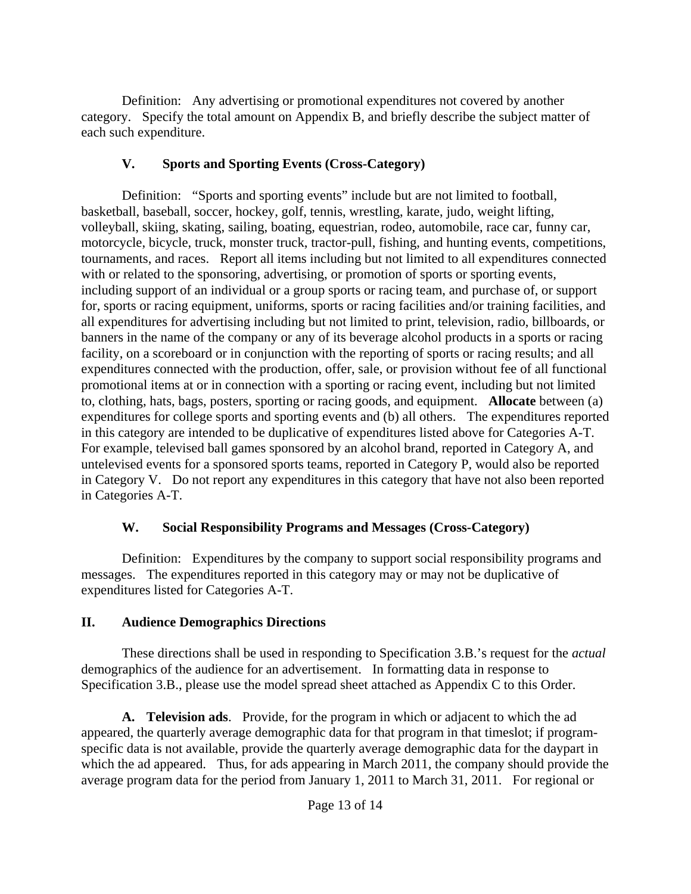Definition: Any advertising or promotional expenditures not covered by another category. Specify the total amount on Appendix B, and briefly describe the subject matter of each such expenditure.

#### **V. Sports and Sporting Events (Cross-Category)**

 Definition: "Sports and sporting events" include but are not limited to football, basketball, baseball, soccer, hockey, golf, tennis, wrestling, karate, judo, weight lifting, volleyball, skiing, skating, sailing, boating, equestrian, rodeo, automobile, race car, funny car, motorcycle, bicycle, truck, monster truck, tractor-pull, fishing, and hunting events, competitions, tournaments, and races. Report all items including but not limited to all expenditures connected with or related to the sponsoring, advertising, or promotion of sports or sporting events, including support of an individual or a group sports or racing team, and purchase of, or support for, sports or racing equipment, uniforms, sports or racing facilities and/or training facilities, and all expenditures for advertising including but not limited to print, television, radio, billboards, or banners in the name of the company or any of its beverage alcohol products in a sports or racing facility, on a scoreboard or in conjunction with the reporting of sports or racing results; and all expenditures connected with the production, offer, sale, or provision without fee of all functional promotional items at or in connection with a sporting or racing event, including but not limited to, clothing, hats, bags, posters, sporting or racing goods, and equipment. **Allocate** between (a) expenditures for college sports and sporting events and (b) all others. The expenditures reported in this category are intended to be duplicative of expenditures listed above for Categories A-T. For example, televised ball games sponsored by an alcohol brand, reported in Category A, and untelevised events for a sponsored sports teams, reported in Category P, would also be reported in Category V. Do not report any expenditures in this category that have not also been reported in Categories A-T.

#### **W. Social Responsibility Programs and Messages (Cross-Category)**

 Definition: Expenditures by the company to support social responsibility programs and messages. The expenditures reported in this category may or may not be duplicative of expenditures listed for Categories A-T.

#### **II. Audience Demographics Directions**

 These directions shall be used in responding to Specification 3.B.'s request for the *actual* demographics of the audience for an advertisement. In formatting data in response to Specification 3.B., please use the model spread sheet attached as Appendix C to this Order.

 **A. Television ads**. Provide, for the program in which or adjacent to which the ad appeared, the quarterly average demographic data for that program in that timeslot; if programspecific data is not available, provide the quarterly average demographic data for the daypart in which the ad appeared. Thus, for ads appearing in March 2011, the company should provide the average program data for the period from January 1, 2011 to March 31, 2011. For regional or